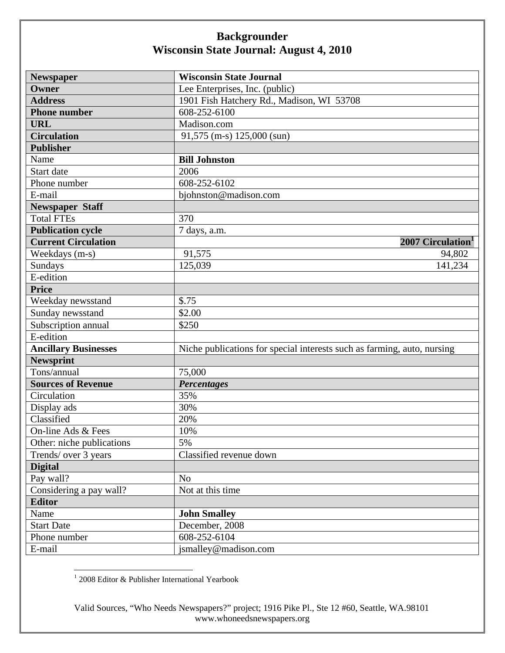| <b>Newspaper</b>            | <b>Wisconsin State Journal</b>                                          |
|-----------------------------|-------------------------------------------------------------------------|
| Owner                       | Lee Enterprises, Inc. (public)                                          |
| <b>Address</b>              | 1901 Fish Hatchery Rd., Madison, WI 53708                               |
| <b>Phone number</b>         | 608-252-6100                                                            |
| <b>URL</b>                  | Madison.com                                                             |
| <b>Circulation</b>          | $91,575$ (m-s) $125,000$ (sun)                                          |
| <b>Publisher</b>            |                                                                         |
| Name                        | <b>Bill Johnston</b>                                                    |
| Start date                  | 2006                                                                    |
| Phone number                | 608-252-6102                                                            |
| E-mail                      | bjohnston@madison.com                                                   |
| <b>Newspaper Staff</b>      |                                                                         |
| <b>Total FTEs</b>           | 370                                                                     |
| <b>Publication cycle</b>    | 7 days, a.m.                                                            |
| <b>Current Circulation</b>  | 2007 Circulation <sup>1</sup>                                           |
| Weekdays (m-s)              | 91,575<br>94,802                                                        |
| Sundays                     | 125,039<br>141,234                                                      |
| E-edition                   |                                                                         |
| <b>Price</b>                |                                                                         |
| Weekday newsstand           | \$.75                                                                   |
| Sunday newsstand            | \$2.00                                                                  |
| Subscription annual         | \$250                                                                   |
| E-edition                   |                                                                         |
| <b>Ancillary Businesses</b> | Niche publications for special interests such as farming, auto, nursing |
| <b>Newsprint</b>            |                                                                         |
| Tons/annual                 | 75,000                                                                  |
| <b>Sources of Revenue</b>   | <b>Percentages</b>                                                      |
| Circulation                 | 35%                                                                     |
| Display ads                 | 30%                                                                     |
| Classified                  | 20%                                                                     |
| On-line Ads & Fees          | 10%                                                                     |
| Other: niche publications   | 5%                                                                      |
| Trends/ over 3 years        | Classified revenue down                                                 |
| <b>Digital</b>              |                                                                         |
| Pay wall?                   | N <sub>o</sub>                                                          |
| Considering a pay wall?     | Not at this time                                                        |
| <b>Editor</b>               |                                                                         |
| Name                        | <b>John Smalley</b>                                                     |
| <b>Start Date</b>           | December, 2008                                                          |
| Phone number                | 608-252-6104                                                            |
| E-mail                      | jsmalley@madison.com                                                    |

1 2008 Editor & Publisher International Yearbook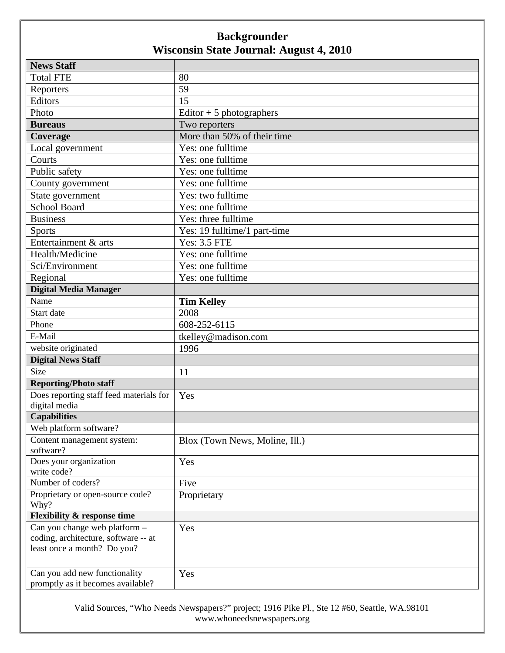| <b>News Staff</b>                       |                                |
|-----------------------------------------|--------------------------------|
| <b>Total FTE</b>                        | 80                             |
| Reporters                               | 59                             |
| Editors                                 | 15                             |
| Photo                                   | Editor $+5$ photographers      |
| <b>Bureaus</b>                          | Two reporters                  |
| Coverage                                | More than 50% of their time    |
| Local government                        | Yes: one fulltime              |
| Courts                                  | Yes: one fulltime              |
| Public safety                           | Yes: one fulltime              |
| County government                       | Yes: one fulltime              |
| State government                        | Yes: two fulltime              |
| <b>School Board</b>                     | Yes: one fulltime              |
| <b>Business</b>                         | Yes: three fulltime            |
| <b>Sports</b>                           | Yes: 19 fulltime/1 part-time   |
| Entertainment & arts                    | <b>Yes: 3.5 FTE</b>            |
| Health/Medicine                         | Yes: one fulltime              |
| Sci/Environment                         | Yes: one fulltime              |
| Regional                                | Yes: one fulltime              |
| <b>Digital Media Manager</b>            |                                |
| Name                                    | <b>Tim Kelley</b>              |
| Start date                              | 2008                           |
| Phone                                   | 608-252-6115                   |
| E-Mail                                  | tkelley@madison.com            |
| website originated                      | 1996                           |
| <b>Digital News Staff</b>               |                                |
| <b>Size</b>                             | 11                             |
| <b>Reporting/Photo staff</b>            |                                |
| Does reporting staff feed materials for | Yes                            |
| digital media                           |                                |
| <b>Capabilities</b>                     |                                |
| Web platform software?                  |                                |
| Content management system:<br>software? | Blox (Town News, Moline, Ill.) |
| Does your organization                  | Yes                            |
| write code?                             |                                |
| Number of coders?                       | Five                           |
| Proprietary or open-source code?        | Proprietary                    |
| Why?                                    |                                |
| <b>Flexibility &amp; response time</b>  |                                |
| Can you change web platform -           | Yes                            |
| coding, architecture, software -- at    |                                |
| least once a month? Do you?             |                                |
|                                         |                                |
| Can you add new functionality           | Yes                            |
| promptly as it becomes available?       |                                |

Valid Sources, "Who Needs Newspapers?" project; 1916 Pike Pl., Ste 12 #60, Seattle, WA.98101 www.whoneedsnewspapers.org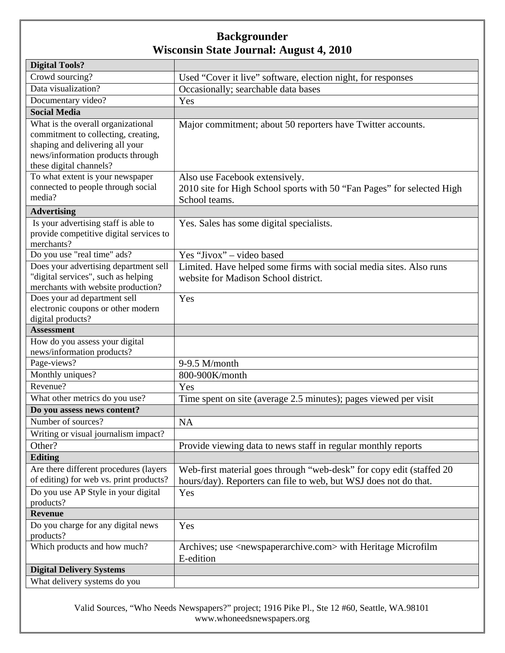| <b>Digital Tools?</b>                                                                                                                                                        |                                                                                                                                           |
|------------------------------------------------------------------------------------------------------------------------------------------------------------------------------|-------------------------------------------------------------------------------------------------------------------------------------------|
| Crowd sourcing?                                                                                                                                                              | Used "Cover it live" software, election night, for responses                                                                              |
| Data visualization?                                                                                                                                                          | Occasionally; searchable data bases                                                                                                       |
| Documentary video?                                                                                                                                                           | Yes                                                                                                                                       |
| <b>Social Media</b>                                                                                                                                                          |                                                                                                                                           |
| What is the overall organizational<br>commitment to collecting, creating,<br>shaping and delivering all your<br>news/information products through<br>these digital channels? | Major commitment; about 50 reporters have Twitter accounts.                                                                               |
| To what extent is your newspaper<br>connected to people through social<br>media?                                                                                             | Also use Facebook extensively.<br>2010 site for High School sports with 50 "Fan Pages" for selected High<br>School teams.                 |
| <b>Advertising</b>                                                                                                                                                           |                                                                                                                                           |
| Is your advertising staff is able to<br>provide competitive digital services to<br>merchants?                                                                                | Yes. Sales has some digital specialists.                                                                                                  |
| Do you use "real time" ads?                                                                                                                                                  | Yes "Jivox" – video based                                                                                                                 |
| Does your advertising department sell<br>"digital services", such as helping<br>merchants with website production?                                                           | Limited. Have helped some firms with social media sites. Also runs<br>website for Madison School district.                                |
| Does your ad department sell<br>electronic coupons or other modern<br>digital products?                                                                                      | Yes                                                                                                                                       |
|                                                                                                                                                                              |                                                                                                                                           |
| <b>Assessment</b>                                                                                                                                                            |                                                                                                                                           |
| How do you assess your digital<br>news/information products?                                                                                                                 |                                                                                                                                           |
| Page-views?                                                                                                                                                                  | 9-9.5 M/month                                                                                                                             |
| Monthly uniques?                                                                                                                                                             | 800-900K/month                                                                                                                            |
| Revenue?                                                                                                                                                                     | Yes                                                                                                                                       |
| What other metrics do you use?                                                                                                                                               | Time spent on site (average 2.5 minutes); pages viewed per visit                                                                          |
| Do you assess news content?                                                                                                                                                  |                                                                                                                                           |
| Number of sources?                                                                                                                                                           | <b>NA</b>                                                                                                                                 |
| Writing or visual journalism impact?                                                                                                                                         |                                                                                                                                           |
| Other?                                                                                                                                                                       | Provide viewing data to news staff in regular monthly reports                                                                             |
| <b>Editing</b>                                                                                                                                                               |                                                                                                                                           |
| Are there different procedures (layers<br>of editing) for web vs. print products?                                                                                            | Web-first material goes through "web-desk" for copy edit (staffed 20)<br>hours/day). Reporters can file to web, but WSJ does not do that. |
| Do you use AP Style in your digital<br>products?                                                                                                                             | Yes                                                                                                                                       |
| <b>Revenue</b>                                                                                                                                                               |                                                                                                                                           |
| Do you charge for any digital news<br>products?                                                                                                                              | Yes                                                                                                                                       |
| Which products and how much?                                                                                                                                                 | Archives; use <newspaperarchive.com> with Heritage Microfilm<br/>E-edition</newspaperarchive.com>                                         |
| <b>Digital Delivery Systems</b>                                                                                                                                              |                                                                                                                                           |

Valid Sources, "Who Needs Newspapers?" project; 1916 Pike Pl., Ste 12 #60, Seattle, WA.98101 www.whoneedsnewspapers.org